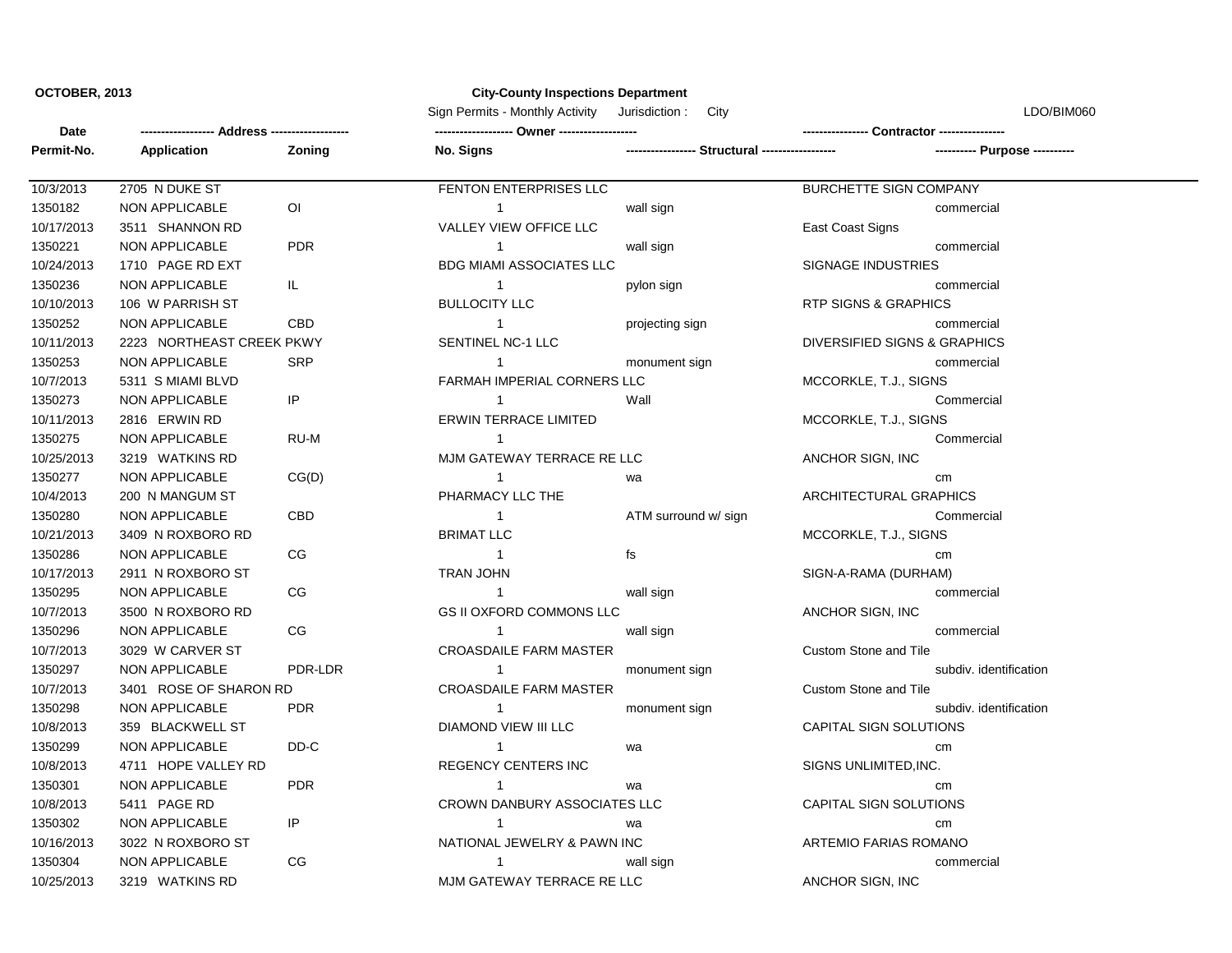## **OCTOBER, 2013 City-County Inspections Department**

Sign Permits - Monthly Activity Jurisdiction : City City Communication is the UDO/BIM060

| Date       |                           |                |                                 |                                             |                                 |                               |
|------------|---------------------------|----------------|---------------------------------|---------------------------------------------|---------------------------------|-------------------------------|
| Permit-No. | Application               | Zoning         | No. Signs                       | ----------------- Structural -------------- |                                 | ---------- Purpose ---------- |
| 10/3/2013  | 2705 N DUKE ST            |                | FENTON ENTERPRISES LLC          |                                             | BURCHETTE SIGN COMPANY          |                               |
| 1350182    | NON APPLICABLE            | $\overline{O}$ | $\overline{1}$                  | wall sign                                   |                                 | commercial                    |
| 10/17/2013 | 3511 SHANNON RD           |                | VALLEY VIEW OFFICE LLC          |                                             | East Coast Signs                |                               |
| 1350221    | <b>NON APPLICABLE</b>     | <b>PDR</b>     | $\mathbf{1}$                    | wall sign                                   |                                 | commercial                    |
| 10/24/2013 | 1710 PAGE RD EXT          |                | <b>BDG MIAMI ASSOCIATES LLC</b> |                                             | <b>SIGNAGE INDUSTRIES</b>       |                               |
| 1350236    | <b>NON APPLICABLE</b>     | IL.            | $\mathbf{1}$                    | pylon sign                                  |                                 | commercial                    |
| 10/10/2013 | 106 W PARRISH ST          |                | <b>BULLOCITY LLC</b>            |                                             | <b>RTP SIGNS &amp; GRAPHICS</b> |                               |
| 1350252    | NON APPLICABLE            | CBD            | $\mathbf{1}$                    | projecting sign                             |                                 | commercial                    |
| 10/11/2013 | 2223 NORTHEAST CREEK PKWY |                | SENTINEL NC-1 LLC               |                                             | DIVERSIFIED SIGNS & GRAPHICS    |                               |
| 1350253    | NON APPLICABLE            | <b>SRP</b>     | $\mathbf{1}$                    | monument sign                               |                                 | commercial                    |
| 10/7/2013  | 5311 S MIAMI BLVD         |                | FARMAH IMPERIAL CORNERS LLC     |                                             | MCCORKLE, T.J., SIGNS           |                               |
| 1350273    | <b>NON APPLICABLE</b>     | IP             | $\mathbf{1}$                    | Wall                                        |                                 | Commercial                    |
| 10/11/2013 | 2816 ERWIN RD             |                | <b>ERWIN TERRACE LIMITED</b>    |                                             | MCCORKLE, T.J., SIGNS           |                               |
| 1350275    | NON APPLICABLE            | RU-M           | $\mathbf{1}$                    |                                             |                                 | Commercial                    |
| 10/25/2013 | 3219 WATKINS RD           |                | MJM GATEWAY TERRACE RE LLC      |                                             | ANCHOR SIGN, INC.               |                               |
| 1350277    | NON APPLICABLE            | CG(D)          | $\overline{1}$                  | wa                                          | cm                              |                               |
| 10/4/2013  | 200 N MANGUM ST           |                | PHARMACY LLC THE                |                                             | ARCHITECTURAL GRAPHICS          |                               |
| 1350280    | <b>NON APPLICABLE</b>     | <b>CBD</b>     | $\overline{1}$                  | ATM surround w/ sign                        |                                 | Commercial                    |
| 10/21/2013 | 3409 N ROXBORO RD         |                | <b>BRIMAT LLC</b>               |                                             | MCCORKLE, T.J., SIGNS           |                               |
| 1350286    | NON APPLICABLE            | CG             | $\overline{1}$                  | fs                                          | cm                              |                               |
| 10/17/2013 | 2911 N ROXBORO ST         |                | <b>TRAN JOHN</b>                |                                             | SIGN-A-RAMA (DURHAM)            |                               |
| 1350295    | NON APPLICABLE            | CG             | $\overline{1}$                  | wall sign                                   |                                 | commercial                    |
| 10/7/2013  | 3500 N ROXBORO RD         |                | <b>GS II OXFORD COMMONS LLC</b> |                                             | ANCHOR SIGN, INC                |                               |
| 1350296    | NON APPLICABLE            | CG             | $\mathbf{1}$                    | wall sign                                   |                                 | commercial                    |
| 10/7/2013  | 3029 W CARVER ST          |                | <b>CROASDAILE FARM MASTER</b>   |                                             | Custom Stone and Tile           |                               |
| 1350297    | <b>NON APPLICABLE</b>     | PDR-LDR        | $\mathbf{1}$                    | monument sign                               |                                 | subdiv. identification        |
| 10/7/2013  | 3401 ROSE OF SHARON RD    |                | <b>CROASDAILE FARM MASTER</b>   |                                             | Custom Stone and Tile           |                               |
| 1350298    | NON APPLICABLE            | <b>PDR</b>     | $\mathbf{1}$                    | monument sign                               |                                 | subdiv. identification        |
| 10/8/2013  | 359 BLACKWELL ST          |                | DIAMOND VIEW III LLC            |                                             | CAPITAL SIGN SOLUTIONS          |                               |
| 1350299    | NON APPLICABLE            | DD-C           | $\mathbf{1}$                    | wa                                          | cm                              |                               |
| 10/8/2013  | 4711 HOPE VALLEY RD       |                | REGENCY CENTERS INC             |                                             | SIGNS UNLIMITED, INC.           |                               |
| 1350301    | NON APPLICABLE            | <b>PDR</b>     | $\mathbf{1}$                    | wa                                          | cm                              |                               |
| 10/8/2013  | 5411 PAGE RD              |                | CROWN DANBURY ASSOCIATES LLC    |                                             | CAPITAL SIGN SOLUTIONS          |                               |
| 1350302    | <b>NON APPLICABLE</b>     | IP             | $\mathbf{1}$                    | wa                                          | cm                              |                               |
| 10/16/2013 | 3022 N ROXBORO ST         |                | NATIONAL JEWELRY & PAWN INC     |                                             | <b>ARTEMIO FARIAS ROMANO</b>    |                               |
| 1350304    | NON APPLICABLE            | CG             | $\mathbf{1}$                    | wall sign                                   |                                 | commercial                    |
| 10/25/2013 | 3219 WATKINS RD           |                | MJM GATEWAY TERRACE RE LLC      |                                             | ANCHOR SIGN, INC                |                               |